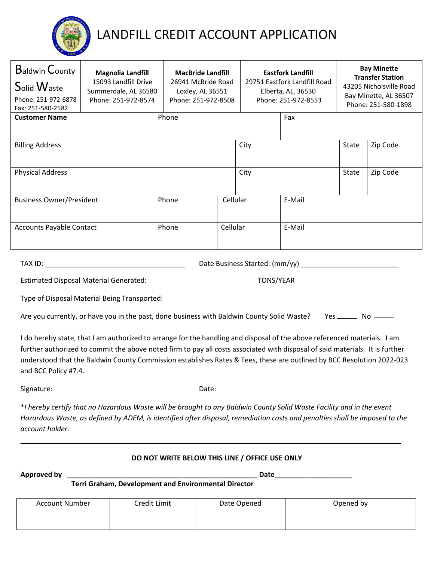

# LANDFILL CREDIT ACCOUNT APPLICATION

| <b>Baldwin County</b><br>Solid Waste<br>Phone: 251-972-6878<br>Fax: 251-580-2582                                             | <b>Magnolia Landfill</b><br>15093 Landfill Drive<br>Summerdale, AL 36580<br>Phone: 251-972-8574                                                                                                                                                                                                                                                                                   | <b>MacBride Landfill</b><br>26941 McBride Road<br>Loxley, AL 36551<br>Phone: 251-972-8508 |          |      | <b>Eastfork Landfill</b><br>29751 Eastfork Landfill Road<br>Elberta, AL, 36530<br>Phone: 251-972-8553 |                                    | <b>Bay Minette</b><br><b>Transfer Station</b><br>43205 Nicholsville Road<br>Bay Minette, AL 36507<br>Phone: 251-580-1898 |
|------------------------------------------------------------------------------------------------------------------------------|-----------------------------------------------------------------------------------------------------------------------------------------------------------------------------------------------------------------------------------------------------------------------------------------------------------------------------------------------------------------------------------|-------------------------------------------------------------------------------------------|----------|------|-------------------------------------------------------------------------------------------------------|------------------------------------|--------------------------------------------------------------------------------------------------------------------------|
| <b>Customer Name</b>                                                                                                         |                                                                                                                                                                                                                                                                                                                                                                                   | Phone                                                                                     |          |      | Fax                                                                                                   |                                    |                                                                                                                          |
| <b>Billing Address</b>                                                                                                       |                                                                                                                                                                                                                                                                                                                                                                                   |                                                                                           |          | City |                                                                                                       | <b>State</b>                       | Zip Code                                                                                                                 |
| <b>Physical Address</b>                                                                                                      |                                                                                                                                                                                                                                                                                                                                                                                   | City                                                                                      |          |      | State                                                                                                 | Zip Code                           |                                                                                                                          |
| <b>Business Owner/President</b>                                                                                              |                                                                                                                                                                                                                                                                                                                                                                                   | Phone                                                                                     | Cellular |      | E-Mail                                                                                                |                                    |                                                                                                                          |
| <b>Accounts Payable Contact</b>                                                                                              |                                                                                                                                                                                                                                                                                                                                                                                   | Phone                                                                                     | Cellular |      | E-Mail                                                                                                |                                    |                                                                                                                          |
|                                                                                                                              |                                                                                                                                                                                                                                                                                                                                                                                   |                                                                                           |          |      |                                                                                                       |                                    |                                                                                                                          |
| TONS/YEAR<br>Estimated Disposal Material Generated: National Assembly Control of the Control of the Control of the Control o |                                                                                                                                                                                                                                                                                                                                                                                   |                                                                                           |          |      |                                                                                                       |                                    |                                                                                                                          |
|                                                                                                                              | Type of Disposal Material Being Transported:                                                                                                                                                                                                                                                                                                                                      |                                                                                           |          |      |                                                                                                       |                                    |                                                                                                                          |
|                                                                                                                              | Are you currently, or have you in the past, done business with Baldwin County Solid Waste?                                                                                                                                                                                                                                                                                        |                                                                                           |          |      |                                                                                                       | Yes ________________ No __________ |                                                                                                                          |
| and BCC Policy #7.4.                                                                                                         | I do hereby state, that I am authorized to arrange for the handling and disposal of the above referenced materials. I am<br>further authorized to commit the above noted firm to pay all costs associated with disposal of said materials. It is further<br>understood that the Baldwin County Commission establishes Rates & Fees, these are outlined by BCC Resolution 2022-023 |                                                                                           |          |      |                                                                                                       |                                    |                                                                                                                          |
| Signature:                                                                                                                   |                                                                                                                                                                                                                                                                                                                                                                                   | Date:                                                                                     |          |      |                                                                                                       |                                    |                                                                                                                          |
| account holder.                                                                                                              | *I hereby certify that no Hazardous Waste will be brought to any Baldwin County Solid Waste Facility and in the event<br>Hazardous Waste, as defined by ADEM, is identified after disposal, remediation costs and penalties shall be imposed to the                                                                                                                               |                                                                                           |          |      |                                                                                                       |                                    |                                                                                                                          |
|                                                                                                                              |                                                                                                                                                                                                                                                                                                                                                                                   | DO NOT WRITE BELOW THIS LINE / OFFICE USE ONLY                                            |          |      |                                                                                                       |                                    |                                                                                                                          |

**Approved by \_\_\_\_\_\_\_\_\_\_\_\_\_\_\_\_\_\_\_\_\_\_\_\_\_\_\_\_\_\_\_\_\_\_\_\_\_\_\_\_\_\_\_\_\_\_\_\_\_ Date\_\_\_\_\_\_\_\_\_\_\_\_\_\_\_\_\_\_\_\_**

 **Terri Graham, Development and Environmental Director**

| <b>Account Number</b> | Credit Limit | Date Opened | Opened by |
|-----------------------|--------------|-------------|-----------|
|                       |              |             |           |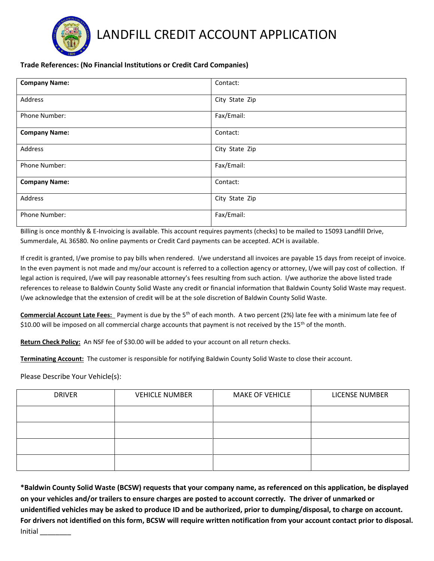

### LANDFILL CREDIT ACCOUNT APPLICATION

### **Trade References: (No Financial Institutions or Credit Card Companies)**

| <b>Company Name:</b> | Contact:       |
|----------------------|----------------|
| Address              | City State Zip |
| Phone Number:        | Fax/Email:     |
| <b>Company Name:</b> | Contact:       |
| Address              | City State Zip |
| <b>Phone Number:</b> | Fax/Email:     |
| <b>Company Name:</b> | Contact:       |
| Address              | City State Zip |
| Phone Number:        | Fax/Email:     |

Billing is once monthly & E-Invoicing is available. This account requires payments (checks) to be mailed to 15093 Landfill Drive, Summerdale, AL 36580. No online payments or Credit Card payments can be accepted. ACH is available.

If credit is granted, I/we promise to pay bills when rendered. I/we understand all invoices are payable 15 days from receipt of invoice. In the even payment is not made and my/our account is referred to a collection agency or attorney, I/we will pay cost of collection. If legal action is required, I/we will pay reasonable attorney's fees resulting from such action. I/we authorize the above listed trade references to release to Baldwin County Solid Waste any credit or financial information that Baldwin County Solid Waste may request. I/we acknowledge that the extension of credit will be at the sole discretion of Baldwin County Solid Waste.

**Commercial Account Late Fees:** Payment is due by the 5th of each month. A two percent (2%) late fee with a minimum late fee of \$10.00 will be imposed on all commercial charge accounts that payment is not received by the 15<sup>th</sup> of the month.

**Return Check Policy:** An NSF fee of \$30.00 will be added to your account on all return checks.

**Terminating Account:** The customer is responsible for notifying Baldwin County Solid Waste to close their account.

Please Describe Your Vehicle(s):

| <b>DRIVER</b> | <b>VEHICLE NUMBER</b> | <b>MAKE OF VEHICLE</b> | <b>LICENSE NUMBER</b> |
|---------------|-----------------------|------------------------|-----------------------|
|               |                       |                        |                       |
|               |                       |                        |                       |
|               |                       |                        |                       |
|               |                       |                        |                       |

**\*Baldwin County Solid Waste (BCSW) requests that your company name, as referenced on this application, be displayed on your vehicles and/or trailers to ensure charges are posted to account correctly. The driver of unmarked or unidentified vehicles may be asked to produce ID and be authorized, prior to dumping/disposal, to charge on account. For drivers not identified on this form, BCSW will require written notification from your account contact prior to disposal.**  Initial \_\_\_\_\_\_\_\_